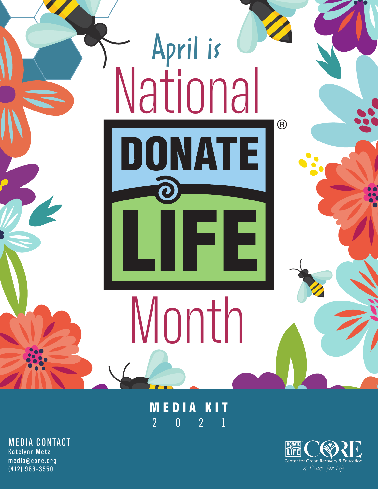

### **MEDIA KIT** 2021

MEDIA CONTACT Katelynn Metz media@core.org (412) 963-3550

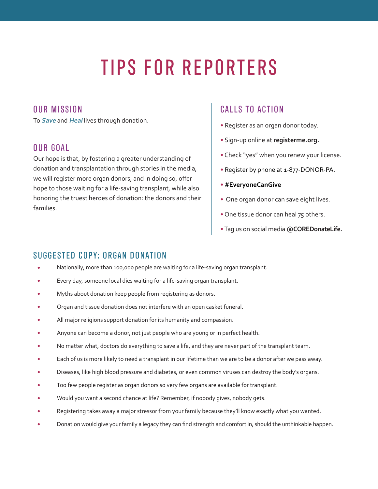# TIPS FOR REPORTERS

### OUR MISSION

To **Save** and **Heal** lives through donation.

#### OUR GOAL

Our hope is that, by fostering a greater understanding of donation and transplantation through stories in the media, we will register more organ donors, and in doing so, offer hope to those waiting for a life-saving transplant, while also honoring the truest heroes of donation: the donors and their families.

### CALLS TO ACTION

- Register as an organ donor today.
- Sign-up online at **registerme.org.**
- Check "yes" when you renew your license.
- Register by phone at 1-877-DONOR-PA.
- **#EveryoneCanGive**
- One organ donor can save eight lives.
- One tissue donor can heal 75 others.
- Tag us on social media **@COREDonateLife.**

### SUGGESTED COPY: ORGAN DONATION

- Nationally, more than 100,000 people are waiting for a life-saving organ transplant.
- Every day, someone local dies waiting for a life-saving organ transplant.
- Myths about donation keep people from registering as donors.
- Organ and tissue donation does not interfere with an open casket funeral.
- All major religions support donation for its humanity and compassion.
- Anyone can become a donor, not just people who are young or in perfect health.
- No matter what, doctors do everything to save a life, and they are never part of the transplant team.
- Each of us is more likely to need a transplant in our lifetime than we are to be a donor after we pass away.
- Diseases, like high blood pressure and diabetes, or even common viruses can destroy the body's organs.
- Too few people register as organ donors so very few organs are available for transplant.
- Would you want a second chance at life? Remember, if nobody gives, nobody gets.
- Registering takes away a major stressor from your family because they'll know exactly what you wanted.
- Donation would give your family a legacy they can find strength and comfort in, should the unthinkable happen.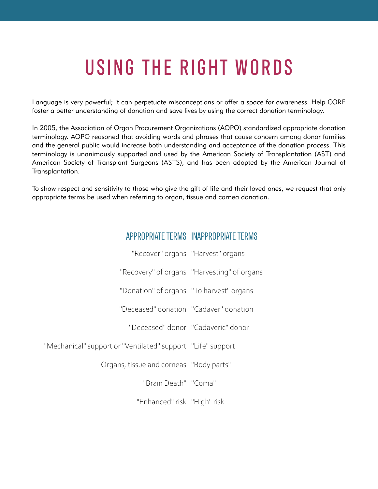# USING THE RIGHT WORDS

Language is very powerful; it can perpetuate misconceptions or offer a space for awareness. Help CORE foster a better understanding of donation and save lives by using the correct donation terminology.

In 2005, the Association of Organ Procurement Organizations (AOPO) standardized appropriate donation terminology. AOPO reasoned that avoiding words and phrases that cause concern among donor families and the general public would increase both understanding and acceptance of the donation process. This terminology is unanimously supported and used by the American Society of Transplantation (AST) and American Society of Transplant Surgeons (ASTS), and has been adopted by the American Journal of Transplantation.

To show respect and sensitivity to those who give the gift of life and their loved ones, we request that only appropriate terms be used when referring to organ, tissue and cornea donation.

ADPROPATE TERMS INAPPROPATE TERMS

| <b>APPRUP</b>                                                 | UAIFIFNWO UNAPPRUPRIAIF                       |
|---------------------------------------------------------------|-----------------------------------------------|
| "Recover" organs   "Harvest" organs                           |                                               |
|                                                               | "Recovery" of organs   "Harvesting" of organs |
| "Donation" of organs   "To harvest" organs                    |                                               |
| "Deceased" donation   "Cadaver" donation                      |                                               |
|                                                               | "Deceased" donor   "Cadaveric" donor          |
| "Mechanical" support or "Ventilated" support   "Life" support |                                               |
| Organs, tissue and corneas   "Body parts"                     |                                               |
| "Brain Death"   "Coma"                                        |                                               |
| "Enhanced" risk   "High" risk                                 |                                               |
|                                                               |                                               |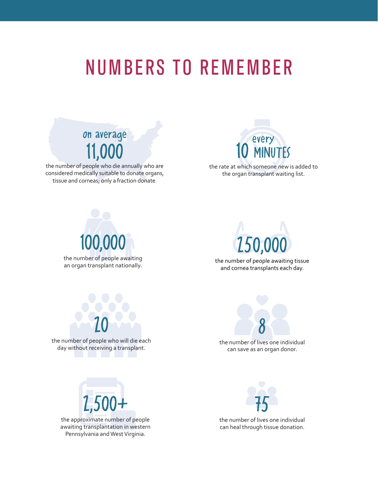## NUMBERS TO REMEMBER

### on average 11,000

the number of people who die annually who are considered medically suitable to donate organs, tissue and corneas; only a fraction donate.



the rate at which someone new is added to the organ transplant waiting list.





the number of people awaiting tissue and cornea transplants each day.



the number of people who will die each day without receiving a transplant.



the number of lives one individual can save as an organ donor.



the approximate number of people awaiting transplantation in western Pennsylvania and West Virginia.



the number of lives one individual can heal through tissue donation.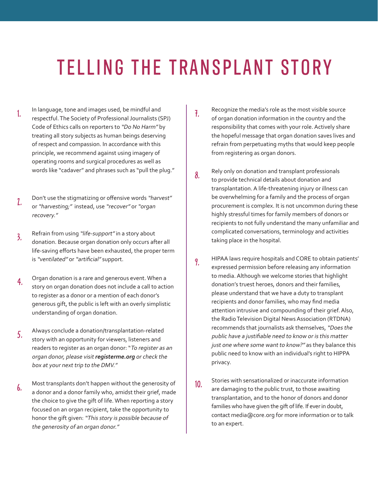# TELLING THE TRANSPLANT STORY

- 1. In language, tone and images used, be mindful and respectful. The Society of Professional Journalists (SPJ) Code of Ethics calls on reporters to "Do No Harm" by treating all story subjects as human beings deserving of respect and compassion. In accordance with this principle, we recommend against using imagery of operating rooms and surgical procedures as well as words like "cadaver" and phrases such as "pull the plug."
- 2. Don't use the stigmatizing or offensive words "harvest" or "harvesting;" instead, use "recover" or "organ recovery."
- 3. Refrain from using "life-support" in a story about donation. Because organ donation only occurs after all life-saving efforts have been exhausted, the proper term is "ventilated" or "artificial" support.
- 4. Organ donation is a rare and generous event. When a story on organ donation does not include a call to action to register as a donor or a mention of each donor's generous gift, the public is left with an overly simplistic understanding of organ donation.
- 5. Always conclude a donation/transplantation-related story with an opportunity for viewers, listeners and readers to register as an organ donor: "To register as an organ donor, please visit **registerme.org** or check the box at your next trip to the DMV."
- **6.** Most transplants don't happen without the generosity of a donor and a donor family who, amidst their grief, made the choice to give the gift of life. When reporting a story focused on an organ recipient, take the opportunity to honor the gift given: "This story is possible because of the generosity of an organ donor."
- 7. Recognize the media's role as the most visible source of organ donation information in the country and the responsibility that comes with your role. Actively share the hopeful message that organ donation saves lives and refrain from perpetuating myths that would keep people from registering as organ donors.
- 8. Rely only on donation and transplant professionals to provide technical details about donation and transplantation. A life-threatening injury or illness can be overwhelming for a family and the process of organ procurement is complex. It is not uncommon during these highly stressful times for family members of donors or recipients to not fully understand the many unfamiliar and complicated conversations, terminology and activities taking place in the hospital.
- 9. HIPAA laws require hospitals and CORE to obtain patients' expressed permission before releasing any information to media. Although we welcome stories that highlight donation's truest heroes, donors and their families, please understand that we have a duty to transplant recipients and donor families, who may find media attention intrusive and compounding of their grief. Also, the Radio Television Digital News Association (RTDNA) recommends that journalists ask themselves, "Does the public have a justifiable need to know or is this matter just one where some want to know?" as they balance this public need to know with an individual's right to HIPPA privacy.
- 10. Stories with sensationalized or inaccurate information are damaging to the public trust, to those awaiting transplantation, and to the honor of donors and donor families who have given the gift of life. If ever in doubt, contact media@core.org for more information or to talk to an expert.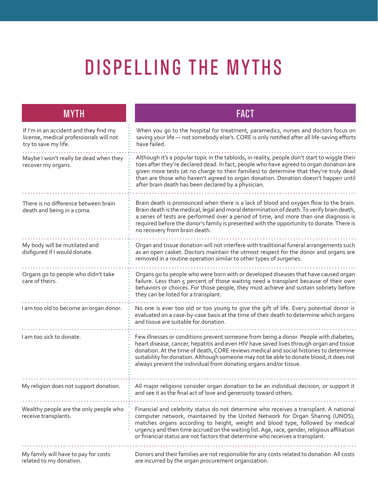# DISPELLING THE MYTHS

| <b>MYTH</b>                                                                                               | <b>FACT</b>                                                                                                                                                                                                                                                                                                                                                                                                                                |
|-----------------------------------------------------------------------------------------------------------|--------------------------------------------------------------------------------------------------------------------------------------------------------------------------------------------------------------------------------------------------------------------------------------------------------------------------------------------------------------------------------------------------------------------------------------------|
| If I'm in an accident and they find my<br>license, medical professionals will not<br>try to save my life. | When you go to the hospital for treatment, paramedics, nurses and doctors focus on<br>saving your life - not somebody else's. CORE is only notified after all life-saving efforts<br>have failed.                                                                                                                                                                                                                                          |
| Maybe I won't really be dead when they<br>recover my organs.                                              | Although it's a popular topic in the tabloids, in reality, people don't start to wiggle their<br>toes after they're declared dead. In fact, people who have agreed to organ donation are<br>given more tests (at no charge to their families) to determine that they're truly dead<br>than are those who haven't agreed to organ donation. Donation doesn't happen until<br>after brain death has been declared by a physician.            |
|                                                                                                           |                                                                                                                                                                                                                                                                                                                                                                                                                                            |
| There is no difference between brain<br>death and being in a coma.                                        | Brain death is pronounced when there is a lack of blood and oxygen flow to the brain.<br>Brain death is the medical, legal and moral determination of death. To verify brain death,<br>a series of tests are performed over a period of time, and more than one diagnosis is<br>required before the donor's family is presented with the opportunity to donate. There is<br>no recovery from brain death.                                  |
| My body will be mutilated and<br>disfigured if I would donate.                                            | Organ and tissue donation will not interfere with traditional funeral arrangements such<br>as an open casket. Doctors maintain the utmost respect for the donor and organs are<br>removed in a routine operation similar to other types of surgeries.                                                                                                                                                                                      |
| Organs go to people who didn't take<br>care of theirs.                                                    | Organs go to people who were born with or developed diseases that have caused organ<br>failure. Less than 5 percent of those waiting need a transplant because of their own<br>behaviors or choices. For those people, they must achieve and sustain sobriety before<br>they can be listed for a transplant.                                                                                                                               |
| I am too old to become an organ donor.                                                                    | No one is ever too old or too young to give the gift of life. Every potential donor is<br>evaluated on a case-by-case basis at the time of their death to determine which organs<br>and tissue are suitable for donation.                                                                                                                                                                                                                  |
| I am too sick to donate.                                                                                  | Few illnesses or conditions prevent someone from being a donor. People with diabetes,<br>heart disease, cancer, hepatitis and even HIV have saved lives through organ and tissue<br>donation. At the time of death, CORE reviews medical and social histories to determine<br>suitability for donation. Although someone may not be able to donate blood, it does not<br>always prevent the individual from donating organs and/or tissue. |
| My religion does not support donation.                                                                    | All major religions consider organ donation to be an individual decision, or support it<br>and see it as the final act of love and generosity toward others.                                                                                                                                                                                                                                                                               |
| Wealthy people are the only people who<br>receive transplants.                                            | Financial and celebrity status do not determine who receives a transplant. A national<br>computer network, maintained by the United Network for Organ Sharing (UNOS),<br>matches organs according to height, weight and blood type, followed by medical<br>urgency and then time accrued on the waiting list. Age, race, gender, religious affiliation<br>or financial status are not factors that determine who receives a transplant.    |
| My family will have to pay for costs<br>related to my donation.                                           | Donors and their families are not responsible for any costs related to donation. All costs<br>are incurred by the organ procurement organization.                                                                                                                                                                                                                                                                                          |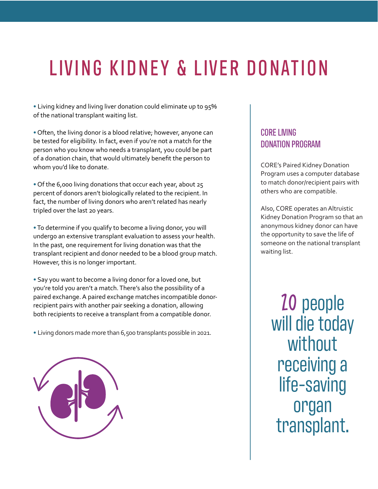# LIVING KIDNEY & LIVER DONATION

• Living kidney and living liver donation could eliminate up to 95% of the national transplant waiting list.

• Often, the living donor is a blood relative; however, anyone can be tested for eligibility. In fact, even if you're not a match for the person who you know who needs a transplant, you could be part of a donation chain, that would ultimately benefit the person to whom you'd like to donate.

• Of the 6,000 living donations that occur each year, about 25 percent of donors aren't biologically related to the recipient. In fact, the number of living donors who aren't related has nearly tripled over the last 20 years.

• To determine if you qualify to become a living donor, you will undergo an extensive transplant evaluation to assess your health. In the past, one requirement for living donation was that the transplant recipient and donor needed to be a blood group match. However, this is no longer important.

• Say you want to become a living donor for a loved one, but you're told you aren't a match. There's also the possibility of a paired exchange. A paired exchange matches incompatible donorrecipient pairs with another pair seeking a donation, allowing both recipients to receive a transplant from a compatible donor.

• Living donors made more than 6,500 transplants possible in 2021.



### CORE LIVING DONATION PROGRAM

CORE's Paired Kidney Donation Program uses a computer database to match donor/recipient pairs with others who are compatible.

Also, CORE operates an Altruistic Kidney Donation Program so that an anonymous kidney donor can have the opportunity to save the life of someone on the national transplant waiting list.

20 people will die today without receiving a life-saving organ transplant.